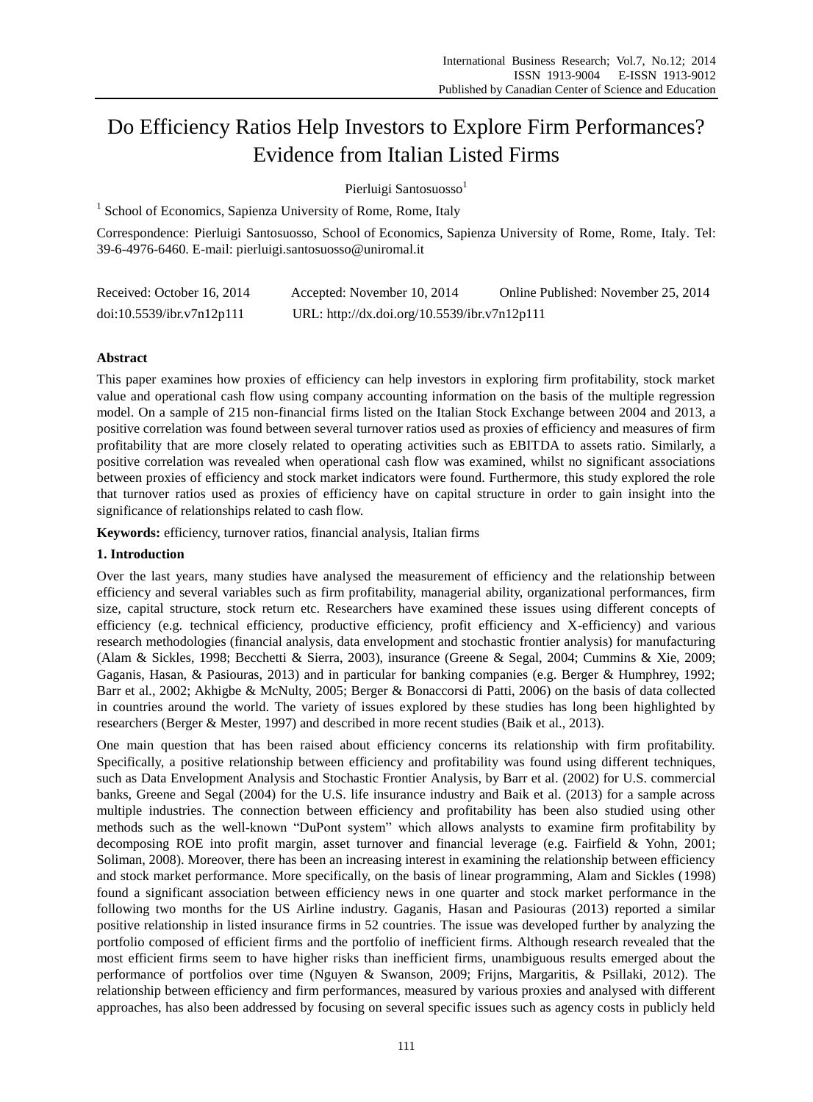# Do Efficiency Ratios Help Investors to Explore Firm Performances? Evidence from Italian Listed Firms

Pierluigi Santosuosso<sup>1</sup>

<sup>1</sup> School of Economics, Sapienza University of Rome, Rome, Italy

Correspondence: Pierluigi Santosuosso, School of Economics, Sapienza University of Rome, Rome, Italy. Tel: 39-6-4976-6460. E-mail: pierluigi.santosuosso@uniromal.it

| Received: October 16, 2014 | Accepted: November 10, 2014                  | Online Published: November 25, 2014 |
|----------------------------|----------------------------------------------|-------------------------------------|
| doi:10.5539/ibr.v7n12p111  | URL: http://dx.doi.org/10.5539/ibr.v7n12p111 |                                     |

## **Abstract**

This paper examines how proxies of efficiency can help investors in exploring firm profitability, stock market value and operational cash flow using company accounting information on the basis of the multiple regression model. On a sample of 215 non-financial firms listed on the Italian Stock Exchange between 2004 and 2013, a positive correlation was found between several turnover ratios used as proxies of efficiency and measures of firm profitability that are more closely related to operating activities such as EBITDA to assets ratio. Similarly, a positive correlation was revealed when operational cash flow was examined, whilst no significant associations between proxies of efficiency and stock market indicators were found. Furthermore, this study explored the role that turnover ratios used as proxies of efficiency have on capital structure in order to gain insight into the significance of relationships related to cash flow.

**Keywords:** efficiency, turnover ratios, financial analysis, Italian firms

## **1. Introduction**

Over the last years, many studies have analysed the measurement of efficiency and the relationship between efficiency and several variables such as firm profitability, managerial ability, organizational performances, firm size, capital structure, stock return etc. Researchers have examined these issues using different concepts of efficiency (e.g. technical efficiency, productive efficiency, profit efficiency and X-efficiency) and various research methodologies (financial analysis, data envelopment and stochastic frontier analysis) for manufacturing (Alam & Sickles, 1998; Becchetti & Sierra, 2003), insurance (Greene & Segal, 2004; Cummins & Xie, 2009; Gaganis, Hasan, & Pasiouras, 2013) and in particular for banking companies (e.g. Berger & Humphrey, 1992; Barr et al*.*, 2002; Akhigbe & McNulty, 2005; Berger & Bonaccorsi di Patti, 2006) on the basis of data collected in countries around the world. The variety of issues explored by these studies has long been highlighted by researchers (Berger & Mester, 1997) and described in more recent studies (Baik et al., 2013).

One main question that has been raised about efficiency concerns its relationship with firm profitability. Specifically, a positive relationship between efficiency and profitability was found using different techniques, such as Data Envelopment Analysis and Stochastic Frontier Analysis, by Barr et al*.* (2002) for U.S. commercial banks, Greene and Segal (2004) for the U.S. life insurance industry and Baik et al. (2013) for a sample across multiple industries. The connection between efficiency and profitability has been also studied using other methods such as the well-known "DuPont system" which allows analysts to examine firm profitability by decomposing ROE into profit margin, asset turnover and financial leverage (e.g. Fairfield & Yohn, 2001; Soliman, 2008). Moreover, there has been an increasing interest in examining the relationship between efficiency and stock market performance. More specifically, on the basis of linear programming, Alam and Sickles (1998) found a significant association between efficiency news in one quarter and stock market performance in the following two months for the US Airline industry. Gaganis, Hasan and Pasiouras (2013) reported a similar positive relationship in listed insurance firms in 52 countries. The issue was developed further by analyzing the portfolio composed of efficient firms and the portfolio of inefficient firms. Although research revealed that the most efficient firms seem to have higher risks than inefficient firms, unambiguous results emerged about the performance of portfolios over time (Nguyen & Swanson, 2009; Frijns, Margaritis, & Psillaki, 2012). The relationship between efficiency and firm performances, measured by various proxies and analysed with different approaches, has also been addressed by focusing on several specific issues such as agency costs in publicly held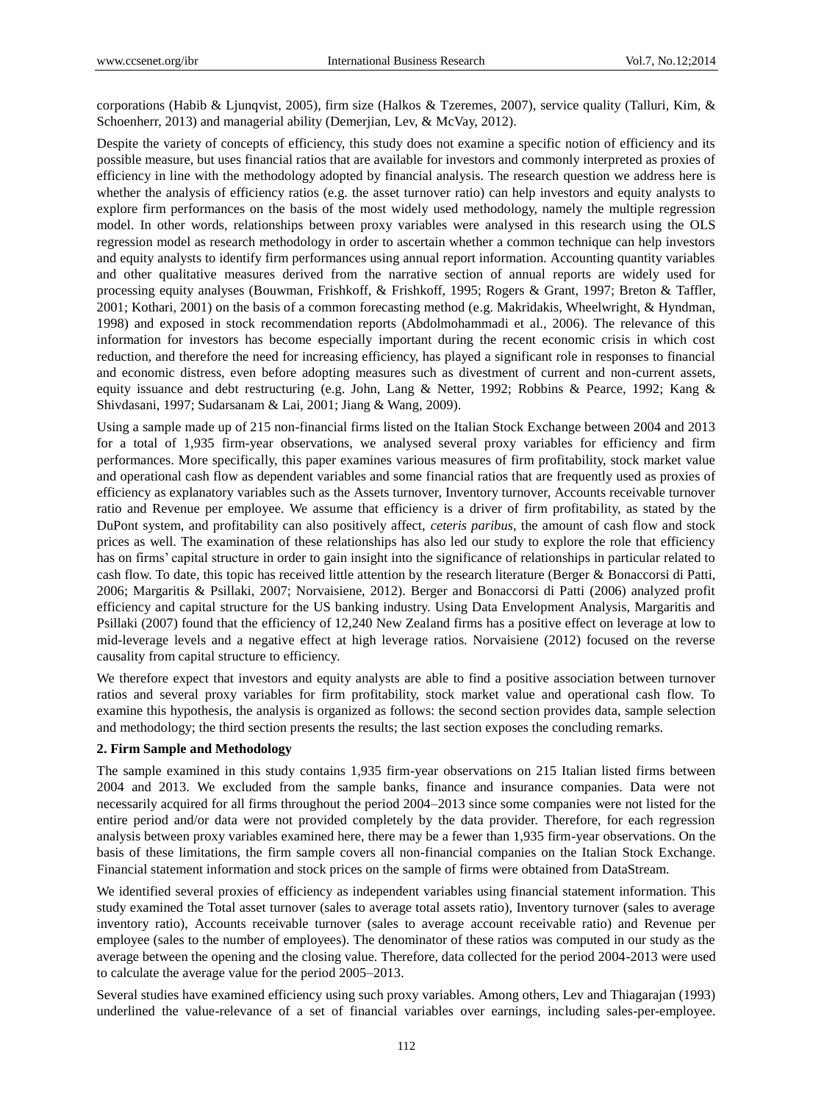corporations (Habib & Ljunqvist, 2005), firm size (Halkos & Tzeremes, 2007), service quality (Talluri, Kim, & Schoenherr, 2013) and managerial ability (Demeriian, Lev, & McVay, 2012).

Despite the variety of concepts of efficiency, this study does not examine a specific notion of efficiency and its possible measure, but uses financial ratios that are available for investors and commonly interpreted as proxies of efficiency in line with the methodology adopted by financial analysis. The research question we address here is whether the analysis of efficiency ratios (e.g. the asset turnover ratio) can help investors and equity analysts to explore firm performances on the basis of the most widely used methodology, namely the multiple regression model. In other words, relationships between proxy variables were analysed in this research using the OLS regression model as research methodology in order to ascertain whether a common technique can help investors and equity analysts to identify firm performances using annual report information. Accounting quantity variables and other qualitative measures derived from the narrative section of annual reports are widely used for processing equity analyses (Bouwman, Frishkoff, & Frishkoff, 1995; Rogers & Grant, 1997; Breton & Taffler, 2001; Kothari, 2001) on the basis of a common forecasting method (e.g. Makridakis, Wheelwright, & Hyndman, 1998) and exposed in stock recommendation reports (Abdolmohammadi et al., 2006). The relevance of this information for investors has become especially important during the recent economic crisis in which cost reduction, and therefore the need for increasing efficiency, has played a significant role in responses to financial and economic distress, even before adopting measures such as divestment of current and non-current assets, equity issuance and debt restructuring (e.g. John, Lang & Netter, 1992; Robbins & Pearce, 1992; Kang & Shivdasani, 1997; Sudarsanam & Lai, 2001; Jiang & Wang, 2009).

Using a sample made up of 215 non-financial firms listed on the Italian Stock Exchange between 2004 and 2013 for a total of 1,935 firm-year observations, we analysed several proxy variables for efficiency and firm performances. More specifically, this paper examines various measures of firm profitability, stock market value and operational cash flow as dependent variables and some financial ratios that are frequently used as proxies of efficiency as explanatory variables such as the Assets turnover, Inventory turnover, Accounts receivable turnover ratio and Revenue per employee. We assume that efficiency is a driver of firm profitability, as stated by the DuPont system, and profitability can also positively affect, *ceteris paribus*, the amount of cash flow and stock prices as well. The examination of these relationships has also led our study to explore the role that efficiency has on firms' capital structure in order to gain insight into the significance of relationships in particular related to cash flow. To date, this topic has received little attention by the research literature (Berger & Bonaccorsi di Patti, 2006; Margaritis & Psillaki, 2007; Norvaisiene, 2012). Berger and Bonaccorsi di Patti (2006) analyzed profit efficiency and capital structure for the US banking industry. Using Data Envelopment Analysis, Margaritis and Psillaki (2007) found that the efficiency of 12,240 New Zealand firms has a positive effect on leverage at low to mid-leverage levels and a negative effect at high leverage ratios. Norvaisiene (2012) focused on the reverse causality from capital structure to efficiency.

We therefore expect that investors and equity analysts are able to find a positive association between turnover ratios and several proxy variables for firm profitability, stock market value and operational cash flow. To examine this hypothesis, the analysis is organized as follows: the second section provides data, sample selection and methodology; the third section presents the results; the last section exposes the concluding remarks.

#### **2. Firm Sample and Methodology**

The sample examined in this study contains 1,935 firm-year observations on 215 Italian listed firms between 2004 and 2013. We excluded from the sample banks, finance and insurance companies. Data were not necessarily acquired for all firms throughout the period 2004–2013 since some companies were not listed for the entire period and/or data were not provided completely by the data provider. Therefore, for each regression analysis between proxy variables examined here, there may be a fewer than 1,935 firm-year observations. On the basis of these limitations, the firm sample covers all non-financial companies on the Italian Stock Exchange. Financial statement information and stock prices on the sample of firms were obtained from DataStream.

We identified several proxies of efficiency as independent variables using financial statement information. This study examined the Total asset turnover (sales to average total assets ratio), Inventory turnover (sales to average inventory ratio), Accounts receivable turnover (sales to average account receivable ratio) and Revenue per employee (sales to the number of employees). The denominator of these ratios was computed in our study as the average between the opening and the closing value. Therefore, data collected for the period 2004-2013 were used to calculate the average value for the period 2005–2013.

Several studies have examined efficiency using such proxy variables. Among others, Lev and Thiagarajan (1993) underlined the value-relevance of a set of financial variables over earnings, including sales-per-employee.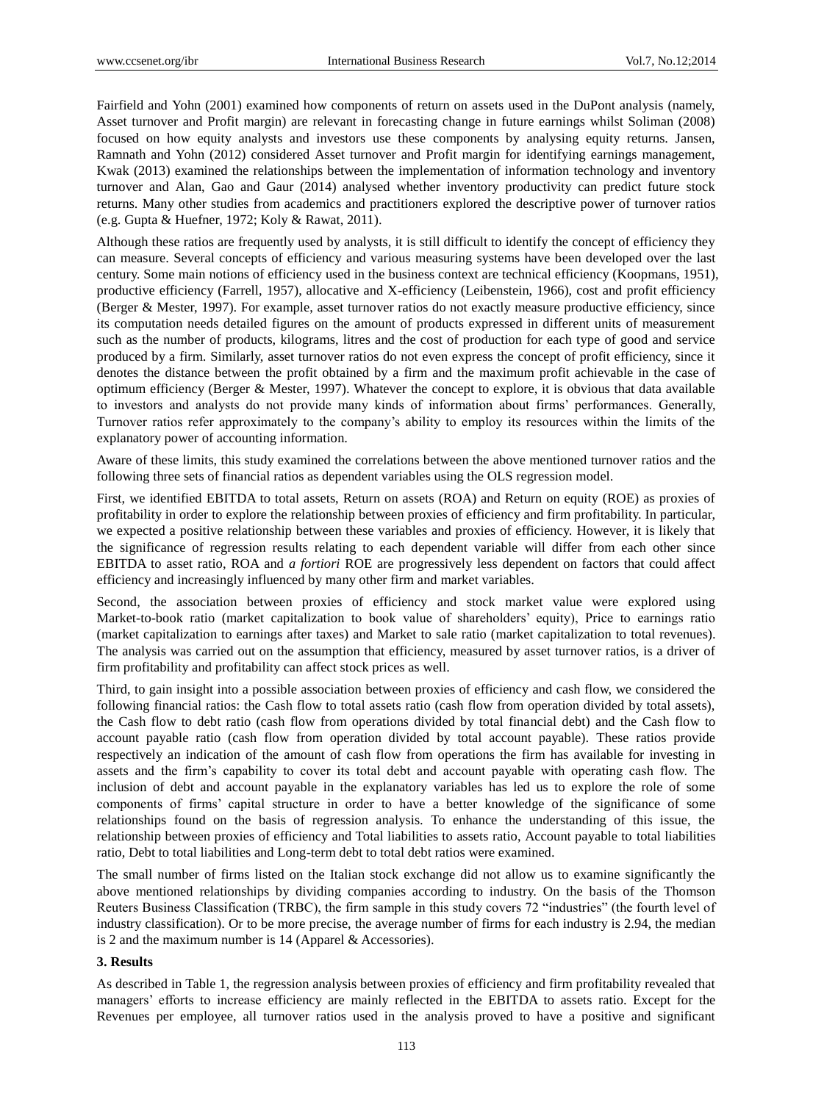Fairfield and Yohn (2001) examined how components of return on assets used in the DuPont analysis (namely, Asset turnover and Profit margin) are relevant in forecasting change in future earnings whilst Soliman (2008) focused on how equity analysts and investors use these components by analysing equity returns. Jansen, Ramnath and Yohn (2012) considered Asset turnover and Profit margin for identifying earnings management, Kwak (2013) examined the relationships between the implementation of information technology and inventory turnover and Alan, Gao and Gaur (2014) analysed whether inventory productivity can predict future stock returns. Many other studies from academics and practitioners explored the descriptive power of turnover ratios (e.g. Gupta & Huefner, 1972; Koly & Rawat, 2011).

Although these ratios are frequently used by analysts, it is still difficult to identify the concept of efficiency they can measure. Several concepts of efficiency and various measuring systems have been developed over the last century. Some main notions of efficiency used in the business context are technical efficiency (Koopmans, 1951), productive efficiency (Farrell, 1957), allocative and X-efficiency (Leibenstein, 1966), cost and profit efficiency (Berger & Mester, 1997). For example, asset turnover ratios do not exactly measure productive efficiency, since its computation needs detailed figures on the amount of products expressed in different units of measurement such as the number of products, kilograms, litres and the cost of production for each type of good and service produced by a firm. Similarly, asset turnover ratios do not even express the concept of profit efficiency, since it denotes the distance between the profit obtained by a firm and the maximum profit achievable in the case of optimum efficiency (Berger & Mester, 1997). Whatever the concept to explore, it is obvious that data available to investors and analysts do not provide many kinds of information about firms' performances. Generally, Turnover ratios refer approximately to the company's ability to employ its resources within the limits of the explanatory power of accounting information.

Aware of these limits, this study examined the correlations between the above mentioned turnover ratios and the following three sets of financial ratios as dependent variables using the OLS regression model.

First, we identified EBITDA to total assets, Return on assets (ROA) and Return on equity (ROE) as proxies of profitability in order to explore the relationship between proxies of efficiency and firm profitability. In particular, we expected a positive relationship between these variables and proxies of efficiency. However, it is likely that the significance of regression results relating to each dependent variable will differ from each other since EBITDA to asset ratio, ROA and *a fortiori* ROE are progressively less dependent on factors that could affect efficiency and increasingly influenced by many other firm and market variables.

Second, the association between proxies of efficiency and stock market value were explored using Market-to-book ratio [\(market capitalization](http://www.readyratios.com/reference/analysis/market_capitalization.html) to book value of shareholders' equity), Price to earnings ratio [\(market capitalization](http://www.readyratios.com/reference/analysis/market_capitalization.html) to earnings after taxes) and Market to sale ratio [\(market capitalization](http://www.readyratios.com/reference/analysis/market_capitalization.html) to total revenues). The analysis was carried out on the assumption that efficiency, measured by asset turnover ratios, is a driver of firm profitability and profitability can affect stock prices as well.

Third, to gain insight into a possible association between proxies of efficiency and cash flow, we considered the following financial ratios: the Cash flow to total assets ratio (cash flow from operation divided by total assets), the Cash flow to debt ratio (cash flow from operations divided by total financial debt) and the Cash flow to account payable ratio (cash flow from operation divided by total account payable). These ratios provide respectively an indication of the amount of cash flow from operations the firm has available for investing in assets and the firm's capability to cover its total debt and account payable with operating cash flow. The inclusion of debt and account payable in the explanatory variables has led us to explore the role of some components of firms' capital structure in order to have a better knowledge of the significance of some relationships found on the basis of regression analysis. To enhance the understanding of this issue, the relationship between proxies of efficiency and Total liabilities to assets ratio, Account payable to total liabilities ratio, Debt to total liabilities and Long-term debt to total debt ratios were examined.

The small number of firms listed on the Italian stock exchange did not allow us to examine significantly the above mentioned relationships by dividing companies according to industry. On the basis of the Thomson Reuters Business Classification (TRBC), the firm sample in this study covers 72 "industries" (the fourth level of industry classification). Or to be more precise, the average number of firms for each industry is 2.94, the median is 2 and the maximum number is 14 (Apparel & Accessories).

#### **3. Results**

As described in Table 1, the regression analysis between proxies of efficiency and firm profitability revealed that managers' efforts to increase efficiency are mainly reflected in the EBITDA to assets ratio. Except for the Revenues per employee, all turnover ratios used in the analysis proved to have a positive and significant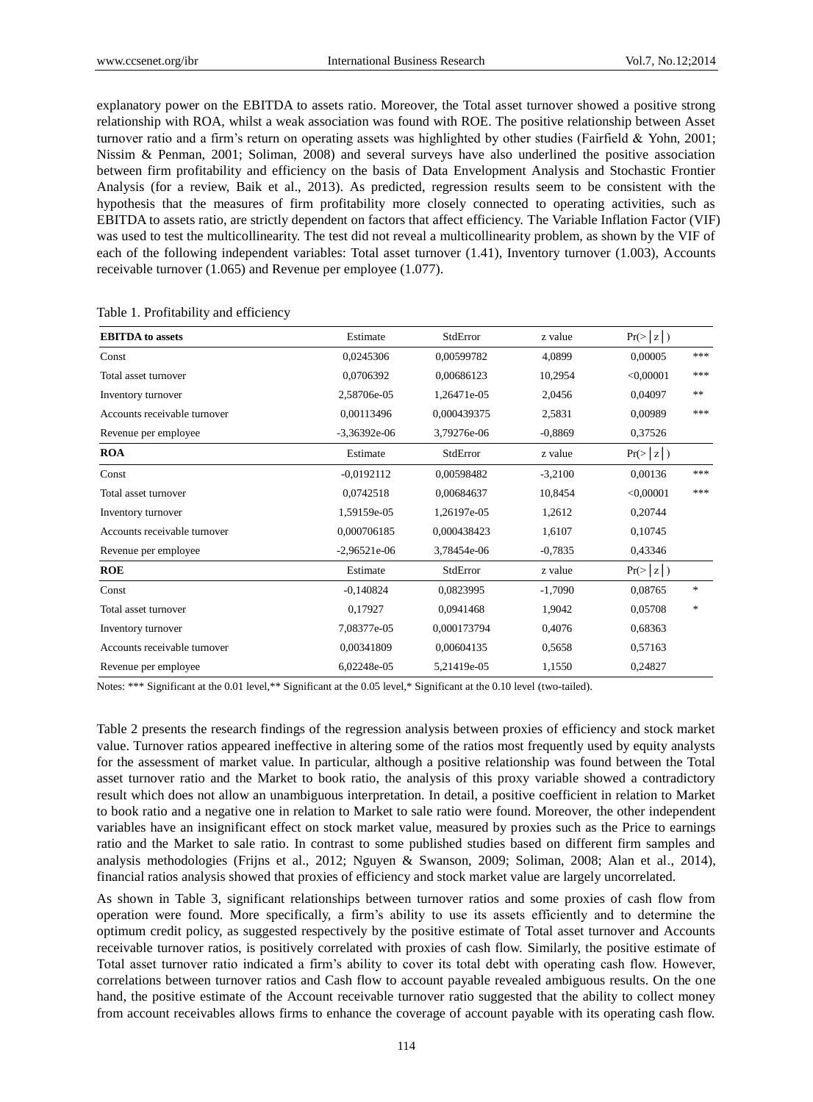explanatory power on the EBITDA to assets ratio. Moreover, the Total asset turnover showed a positive strong relationship with ROA, whilst a weak association was found with ROE. The positive relationship between Asset turnover ratio and a firm's return on operating assets was highlighted by other studies (Fairfield & Yohn, 2001; Nissim & Penman, 2001; Soliman, 2008) and several surveys have also underlined the positive association between firm profitability and efficiency on the basis of Data Envelopment Analysis and Stochastic Frontier Analysis (for a review, Baik et al., 2013). As predicted, regression results seem to be consistent with the hypothesis that the measures of firm profitability more closely connected to operating activities, such as EBITDA to assets ratio, are strictly dependent on factors that affect efficiency. The Variable Inflation Factor (VIF) was used to test the multicollinearity. The test did not reveal a multicollinearity problem, as shown by the VIF of each of the following independent variables: Total asset turnover (1.41), Inventory turnover (1.003), Accounts receivable turnover (1.065) and Revenue per employee (1.077).

| <b>EBITDA</b> to assets      | Estimate       | StdError    | z value   | Pr(>  z ) |            |
|------------------------------|----------------|-------------|-----------|-----------|------------|
| Const                        | 0,0245306      | 0,00599782  | 4,0899    | 0,00005   | ***        |
| Total asset turnover         | 0,0706392      | 0,00686123  | 10,2954   | < 0.00001 | ***        |
| Inventory turnover           | 2,58706e-05    | 1,26471e-05 | 2,0456    | 0,04097   | $\ast\ast$ |
| Accounts receivable turnover | 0,00113496     | 0,000439375 | 2,5831    | 0,00989   | ***        |
| Revenue per employee         | $-3,36392e-06$ | 3,79276e-06 | $-0,8869$ | 0,37526   |            |
| <b>ROA</b>                   | Estimate       | StdError    | z value   | Pr(>  z ) |            |
| Const                        | $-0.0192112$   | 0,00598482  | $-3,2100$ | 0,00136   | ***        |
| Total asset turnover         | 0,0742518      | 0,00684637  | 10,8454   | < 0.00001 | ***        |
| Inventory turnover           | 1,59159e-05    | 1,26197e-05 | 1,2612    | 0,20744   |            |
| Accounts receivable turnover | 0,000706185    | 0.000438423 | 1,6107    | 0,10745   |            |
| Revenue per employee         | $-2,96521e-06$ | 3,78454e-06 | $-0,7835$ | 0,43346   |            |
| <b>ROE</b>                   | Estimate       | StdError    | z value   | Pr(>  z ) |            |
| Const                        | $-0,140824$    | 0,0823995   | $-1,7090$ | 0,08765   | $\ast$     |
| Total asset turnover         | 0,17927        | 0,0941468   | 1,9042    | 0,05708   | $\ast$     |
| Inventory turnover           | 7,08377e-05    | 0,000173794 | 0,4076    | 0,68363   |            |
| Accounts receivable turnover | 0,00341809     | 0,00604135  | 0,5658    | 0,57163   |            |
| Revenue per employee         | 6,02248e-05    | 5,21419e-05 | 1,1550    | 0,24827   |            |

|  |  |  | Table 1. Profitability and efficiency |
|--|--|--|---------------------------------------|
|--|--|--|---------------------------------------|

Notes: \*\*\* Significant at the 0.01 level,\*\* Significant at the 0.05 level,\* Significant at the 0.10 level (two-tailed).

Table 2 presents the research findings of the regression analysis between proxies of efficiency and stock market value. Turnover ratios appeared ineffective in altering some of the ratios most frequently used by equity analysts for the assessment of market value. In particular, although a positive relationship was found between the Total asset turnover ratio and the Market to book ratio, the analysis of this proxy variable showed a contradictory result which does not allow an unambiguous interpretation. In detail, a positive coefficient in relation to Market to book ratio and a negative one in relation to Market to sale ratio were found. Moreover, the other independent variables have an insignificant effect on stock market value, measured by proxies such as the Price to earnings ratio and the Market to sale ratio. In contrast to some published studies based on different firm samples and analysis methodologies (Frijns et al., 2012; Nguyen & Swanson, 2009; Soliman, 2008; Alan et al*.*, 2014), financial ratios analysis showed that proxies of efficiency and stock market value are largely uncorrelated.

As shown in Table 3, significant relationships between turnover ratios and some proxies of cash flow from operation were found. More specifically, a firm's ability to use its assets efficiently and to determine the optimum credit policy, as suggested respectively by the positive estimate of Total asset turnover and Accounts receivable turnover ratios, is positively correlated with proxies of cash flow. Similarly, the positive estimate of Total asset turnover ratio indicated a firm's ability to cover its total debt with operating cash flow. However, correlations between turnover ratios and Cash flow to account payable revealed ambiguous results. On the one hand, the positive estimate of the Account receivable turnover ratio suggested that the ability to collect money from account receivables allows firms to enhance the coverage of account payable with its operating cash flow.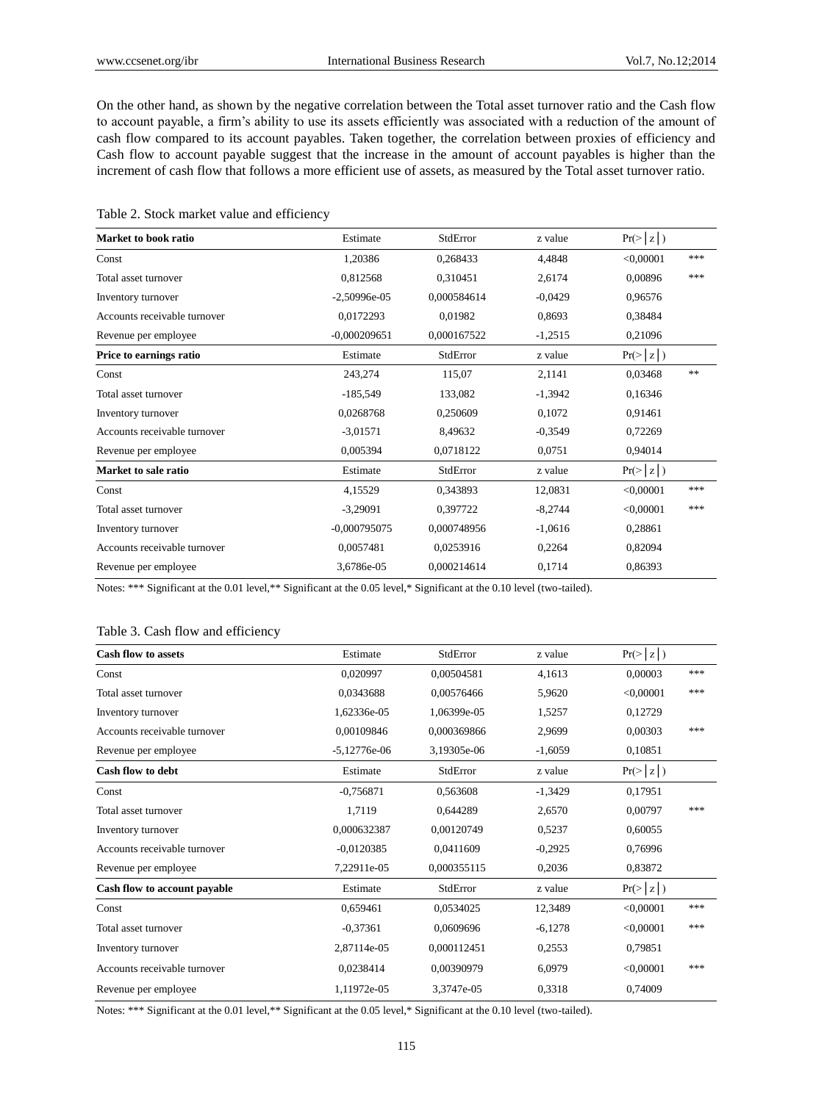On the other hand, as shown by the negative correlation between the Total asset turnover ratio and the Cash flow to account payable, a firm's ability to use its assets efficiently was associated with a reduction of the amount of cash flow compared to its account payables. Taken together, the correlation between proxies of efficiency and Cash flow to account payable suggest that the increase in the amount of account payables is higher than the increment of cash flow that follows a more efficient use of assets, as measured by the Total asset turnover ratio.

| Table 2. Stock market value and efficiency |  |
|--------------------------------------------|--|
|--------------------------------------------|--|

| Market to book ratio         | Estimate       | StdError    | z value   | Pr(>  z ) |            |
|------------------------------|----------------|-------------|-----------|-----------|------------|
| Const                        | 1,20386        | 0,268433    | 4,4848    | < 0,00001 | ***        |
| Total asset turnover         | 0,812568       | 0,310451    | 2,6174    | 0,00896   | ***        |
| Inventory turnover           | $-2,50996e-05$ | 0,000584614 | $-0.0429$ | 0,96576   |            |
| Accounts receivable turnover | 0,0172293      | 0,01982     | 0,8693    | 0,38484   |            |
| Revenue per employee         | $-0,000209651$ | 0,000167522 | $-1,2515$ | 0,21096   |            |
| Price to earnings ratio      | Estimate       | StdError    | z value   | Pr(>  z ) |            |
| Const                        | 243,274        | 115,07      | 2,1141    | 0,03468   | $\ast\ast$ |
| Total asset turnover         | $-185,549$     | 133,082     | $-1,3942$ | 0,16346   |            |
| Inventory turnover           | 0,0268768      | 0,250609    | 0,1072    | 0,91461   |            |
| Accounts receivable turnover | $-3,01571$     | 8,49632     | $-0,3549$ | 0,72269   |            |
| Revenue per employee         | 0,005394       | 0,0718122   | 0.0751    | 0,94014   |            |
| Market to sale ratio         | Estimate       | StdError    | z value   | Pr(>  z ) |            |
| Const                        | 4,15529        | 0,343893    | 12,0831   | < 0,00001 | ***        |
| Total asset turnover         | $-3,29091$     | 0,397722    | $-8,2744$ | < 0,00001 | ***        |
| Inventory turnover           | $-0,000795075$ | 0,000748956 | $-1,0616$ | 0,28861   |            |
| Accounts receivable turnover | 0,0057481      | 0,0253916   | 0,2264    | 0,82094   |            |
| Revenue per employee         | 3,6786e-05     | 0,000214614 | 0,1714    | 0,86393   |            |

Notes: \*\*\* Significant at the 0.01 level,\*\* Significant at the 0.05 level,\* Significant at the 0.10 level (two-tailed).

### Table 3. Cash flow and efficiency

| <b>Cash flow to assets</b>   | Estimate       | StdError    | z value   | Pr(>  z )            |     |
|------------------------------|----------------|-------------|-----------|----------------------|-----|
| Const                        | 0,020997       | 0,00504581  | 4,1613    | 0,00003              | *** |
| Total asset turnover         | 0,0343688      | 0,00576466  | 5,9620    | < 0.00001            | *** |
| Inventory turnover           | 1,62336e-05    | 1,06399e-05 | 1,5257    | 0,12729              |     |
| Accounts receivable turnover | 0,00109846     | 0,000369866 | 2,9699    | 0,00303              | *** |
| Revenue per employee         | $-5,12776e-06$ | 3,19305e-06 | $-1,6059$ | 0,10851              |     |
| <b>Cash flow to debt</b>     | Estimate       | StdError    | z value   | Pr(>  z )            |     |
| Const                        | $-0.756871$    | 0.563608    | $-1,3429$ | 0,17951              |     |
| Total asset turnover         | 1,7119         | 0,644289    | 2,6570    | 0,00797              | *** |
| Inventory turnover           | 0,000632387    | 0,00120749  | 0,5237    | 0,60055              |     |
| Accounts receivable turnover | $-0.0120385$   | 0,0411609   | $-0.2925$ | 0,76996              |     |
| Revenue per employee         | 7,22911e-05    | 0,000355115 | 0,2036    | 0,83872              |     |
| Cash flow to account payable | Estimate       | StdError    | z value   | $Pr(>\vert z \vert)$ |     |
| Const                        | 0,659461       | 0,0534025   | 12,3489   | < 0.00001            | *** |
| Total asset turnover         | $-0,37361$     | 0,0609696   | $-6,1278$ | $<$ 0,00001          | *** |
| Inventory turnover           | 2,87114e-05    | 0,000112451 | 0,2553    | 0,79851              |     |
| Accounts receivable turnover | 0,0238414      | 0,00390979  | 6,0979    | < 0.00001            | *** |
| Revenue per employee         | 1,11972e-05    | 3.3747e-05  | 0.3318    | 0,74009              |     |

Notes: \*\*\* Significant at the 0.01 level,\*\* Significant at the 0.05 level,\* Significant at the 0.10 level (two-tailed).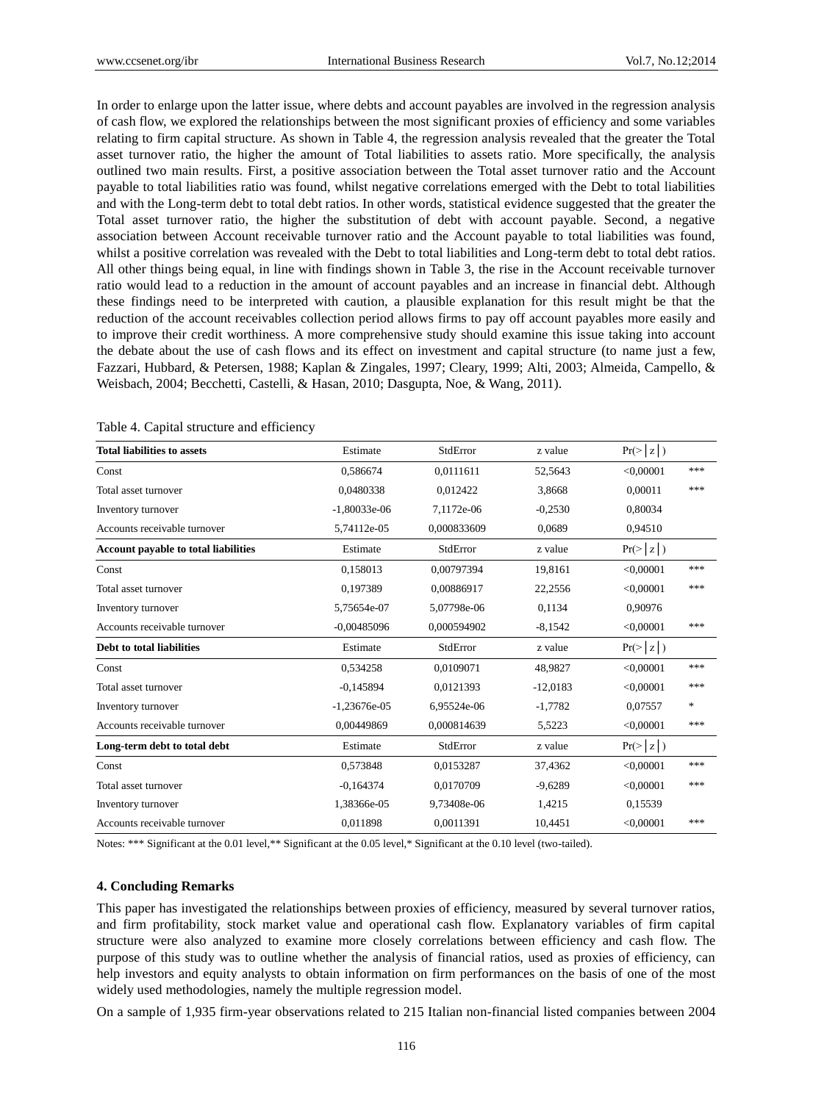In order to enlarge upon the latter issue, where debts and account payables are involved in the regression analysis of cash flow, we explored the relationships between the most significant proxies of efficiency and some variables relating to firm capital structure. As shown in Table 4, the regression analysis revealed that the greater the Total asset turnover ratio, the higher the amount of Total liabilities to assets ratio. More specifically, the analysis outlined two main results. First, a positive association between the Total asset turnover ratio and the Account payable to total liabilities ratio was found, whilst negative correlations emerged with the Debt to total liabilities and with the Long-term debt to total debt ratios. In other words, statistical evidence suggested that the greater the Total asset turnover ratio, the higher the substitution of debt with account payable. Second, a negative association between Account receivable turnover ratio and the Account payable to total liabilities was found, whilst a positive correlation was revealed with the Debt to total liabilities and Long-term debt to total debt ratios. All other things being equal, in line with findings shown in Table 3, the rise in the Account receivable turnover ratio would lead to a reduction in the amount of account payables and an increase in financial debt. Although these findings need to be interpreted with caution, a plausible explanation for this result might be that the reduction of the account receivables collection period allows firms to pay off account payables more easily and to improve their credit worthiness. A more comprehensive study should examine this issue taking into account the debate about the use of cash flows and its effect on investment and capital structure (to name just a few, Fazzari, Hubbard, & Petersen, 1988; Kaplan & Zingales, 1997; Cleary, 1999; Alti, 2003; Almeida, Campello, & Weisbach, 2004; Becchetti, Castelli, & Hasan, 2010; Dasgupta, Noe, & Wang, 2011).

| <b>Total liabilities to assets</b>          | Estimate       | StdError    | z value    | Pr(>  z ) |     |
|---------------------------------------------|----------------|-------------|------------|-----------|-----|
| Const                                       | 0.586674       | 0.0111611   | 52,5643    | < 0.00001 | *** |
| Total asset turnover                        | 0.0480338      | 0.012422    | 3.8668     | 0.00011   | *** |
| Inventory turnover                          | $-1,80033e-06$ | 7,1172e-06  | $-0,2530$  | 0.80034   |     |
| Accounts receivable turnover                | 5,74112e-05    | 0,000833609 | 0.0689     | 0,94510   |     |
| <b>Account payable to total liabilities</b> | Estimate       | StdError    | z value    | Pr(>  z ) |     |
| Const                                       | 0,158013       | 0,00797394  | 19,8161    | < 0.00001 | *** |
| Total asset turnover                        | 0,197389       | 0.00886917  | 22,2556    | < 0.00001 | *** |
| Inventory turnover                          | 5,75654e-07    | 5,07798e-06 | 0,1134     | 0,90976   |     |
| Accounts receivable turnover                | $-0,00485096$  | 0,000594902 | $-8,1542$  | < 0.00001 | *** |
| Debt to total liabilities                   | Estimate       | StdError    | z value    | Pr(>  z ) |     |
| Const                                       | 0,534258       | 0.0109071   | 48,9827    | < 0.00001 | *** |
| Total asset turnover                        | $-0,145894$    | 0.0121393   | $-12,0183$ | < 0.00001 | *** |
| Inventory turnover                          | $-1,23676e-05$ | 6.95524e-06 | $-1,7782$  | 0.07557   | *   |
| Accounts receivable turnover                | 0,00449869     | 0,000814639 | 5,5223     | < 0.00001 | *** |
| Long-term debt to total debt                | Estimate       | StdError    | z value    | Pr(>  z ) |     |
| Const                                       | 0.573848       | 0,0153287   | 37,4362    | < 0.00001 | *** |
| Total asset turnover                        | $-0,164374$    | 0,0170709   | $-9,6289$  | < 0.00001 | *** |
| Inventory turnover                          | 1,38366e-05    | 9,73408e-06 | 1,4215     | 0,15539   |     |
| Accounts receivable turnover                | 0.011898       | 0,0011391   | 10,4451    | < 0.00001 | *** |

Table 4. Capital structure and efficiency

Notes: \*\*\* Significant at the 0.01 level,\*\* Significant at the 0.05 level,\* Significant at the 0.10 level (two-tailed).

#### **4. Concluding Remarks**

This paper has investigated the relationships between proxies of efficiency, measured by several turnover ratios, and firm profitability, stock market value and operational cash flow. Explanatory variables of firm capital structure were also analyzed to examine more closely correlations between efficiency and cash flow. The purpose of this study was to outline whether the analysis of financial ratios, used as proxies of efficiency, can help investors and equity analysts to obtain information on firm performances on the basis of one of the most widely used methodologies, namely the multiple regression model.

On a sample of 1,935 firm-year observations related to 215 Italian non-financial listed companies between 2004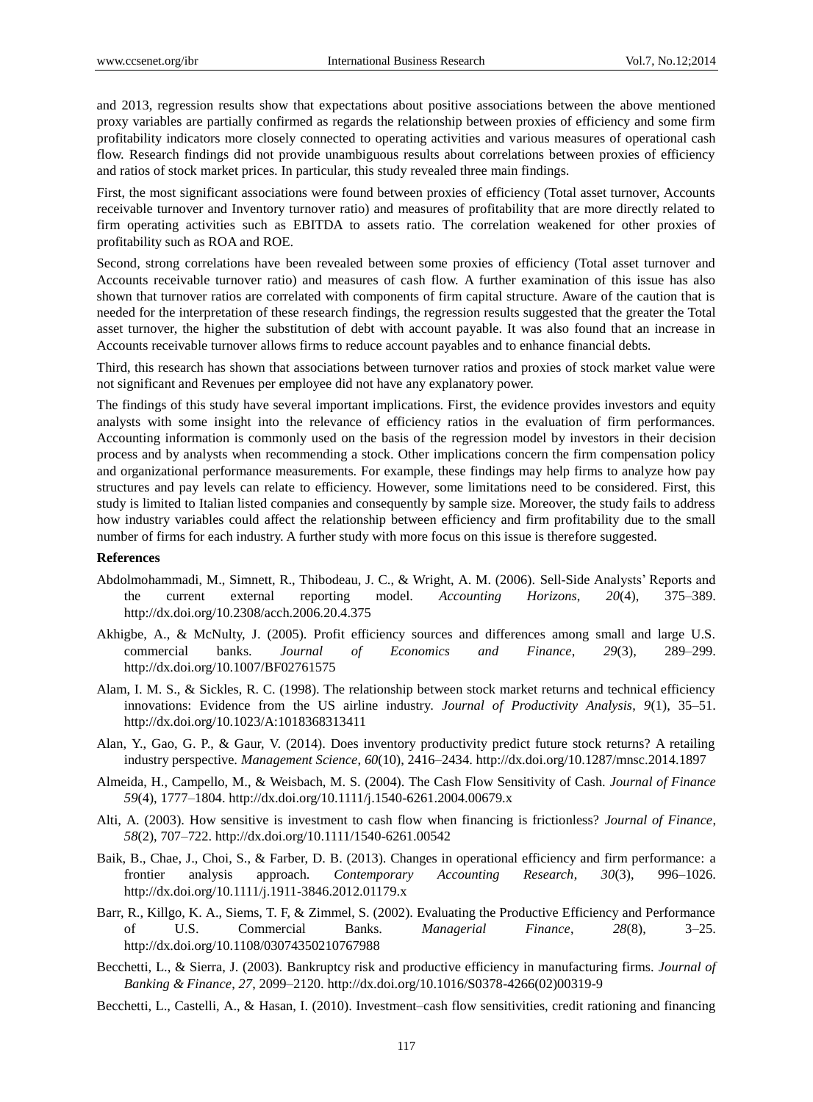and 2013, regression results show that expectations about positive associations between the above mentioned proxy variables are partially confirmed as regards the relationship between proxies of efficiency and some firm profitability indicators more closely connected to operating activities and various measures of operational cash flow. Research findings did not provide unambiguous results about correlations between proxies of efficiency and ratios of stock market prices. In particular, this study revealed three main findings.

First, the most significant associations were found between proxies of efficiency (Total asset turnover, Accounts receivable turnover and Inventory turnover ratio) and measures of profitability that are more directly related to firm operating activities such as EBITDA to assets ratio. The correlation weakened for other proxies of profitability such as ROA and ROE.

Second, strong correlations have been revealed between some proxies of efficiency (Total asset turnover and Accounts receivable turnover ratio) and measures of cash flow. A further examination of this issue has also shown that turnover ratios are correlated with components of firm capital structure. Aware of the caution that is needed for the interpretation of these research findings, the regression results suggested that the greater the Total asset turnover, the higher the substitution of debt with account payable. It was also found that an increase in Accounts receivable turnover allows firms to reduce account payables and to enhance financial debts.

Third, this research has shown that associations between turnover ratios and proxies of stock market value were not significant and Revenues per employee did not have any explanatory power.

The findings of this study have several important implications. First, the evidence provides investors and equity analysts with some insight into the relevance of efficiency ratios in the evaluation of firm performances. Accounting information is commonly used on the basis of the regression model by investors in their decision process and by analysts when recommending a stock. Other implications concern the firm compensation policy and organizational performance measurements. For example, these findings may help firms to analyze how pay structures and pay levels can relate to efficiency. However, some limitations need to be considered. First, this study is limited to Italian listed companies and consequently by sample size. Moreover, the study fails to address how industry variables could affect the relationship between efficiency and firm profitability due to the small number of firms for each industry. A further study with more focus on this issue is therefore suggested.

#### **References**

- Abdolmohammadi, M., Simnett, R., Thibodeau, J. C., & Wright, A. M. (2006). Sell-Side Analysts' Reports and the current external reporting model. *Accounting Horizons*, *20*(4), 375–389. http://dx.doi.org/10.2308/acch.2006.20.4.375
- Akhigbe, A., & McNulty, J. (2005). Profit efficiency sources and differences among small and large U.S. commercial banks. *Journal of Economics and Finance*, *29*(3), 289–299. http://dx.doi.org/10.1007/BF02761575
- Alam, I. M. S., & Sickles, R. C. (1998). The relationship between stock market returns and technical efficiency innovations: Evidence from the US airline industry. *Journal of Productivity Analysis*, *9*(1), 35–51. http://dx.doi.org/10.1023/A:1018368313411
- Alan, Y., Gao, G. P., & Gaur, V. (2014). Does inventory productivity predict future stock returns? A retailing industry perspective. *Management Science*, *60*(10), 2416–2434. http://dx.doi.org/10.1287/mnsc.2014.1897
- Almeida, H., Campello, M., & Weisbach, M. S. (2004). The Cash Flow Sensitivity of Cash. *Journal of Finance 59*(4), 1777–1804. http://dx.doi.org/10.1111/j.1540-6261.2004.00679.x
- Alti, A. (2003). How sensitive is investment to cash flow when financing is frictionless? *Journal of Finance*, *58*(2), 707–722. http://dx.doi.org/10.1111/1540-6261.00542
- Baik, B., Chae, J., Choi, S., & Farber, D. B. (2013). Changes in operational efficiency and firm performance: a frontier analysis approach. *Contemporary Accounting Research*, *30*(3), 996–1026. http://dx.doi.org/10.1111/j.1911-3846.2012.01179.x
- Barr, R., Killgo, K. A., Siems, T. F, & Zimmel, S. (2002). Evaluating the Productive Efficiency and Performance of U.S. Commercial Banks. *Managerial Finance*, *28*(8), 3–25. http://dx.doi.org/10.1108/03074350210767988
- Becchetti, L., & Sierra, J. (2003). Bankruptcy risk and productive efficiency in manufacturing firms. *Journal of Banking & Finance*, *27*, 2099–2120. http://dx.doi.org/10.1016/S0378-4266(02)00319-9
- Becchetti, L., Castelli, A., & Hasan, I. (2010). Investment–cash flow sensitivities, credit rationing and financing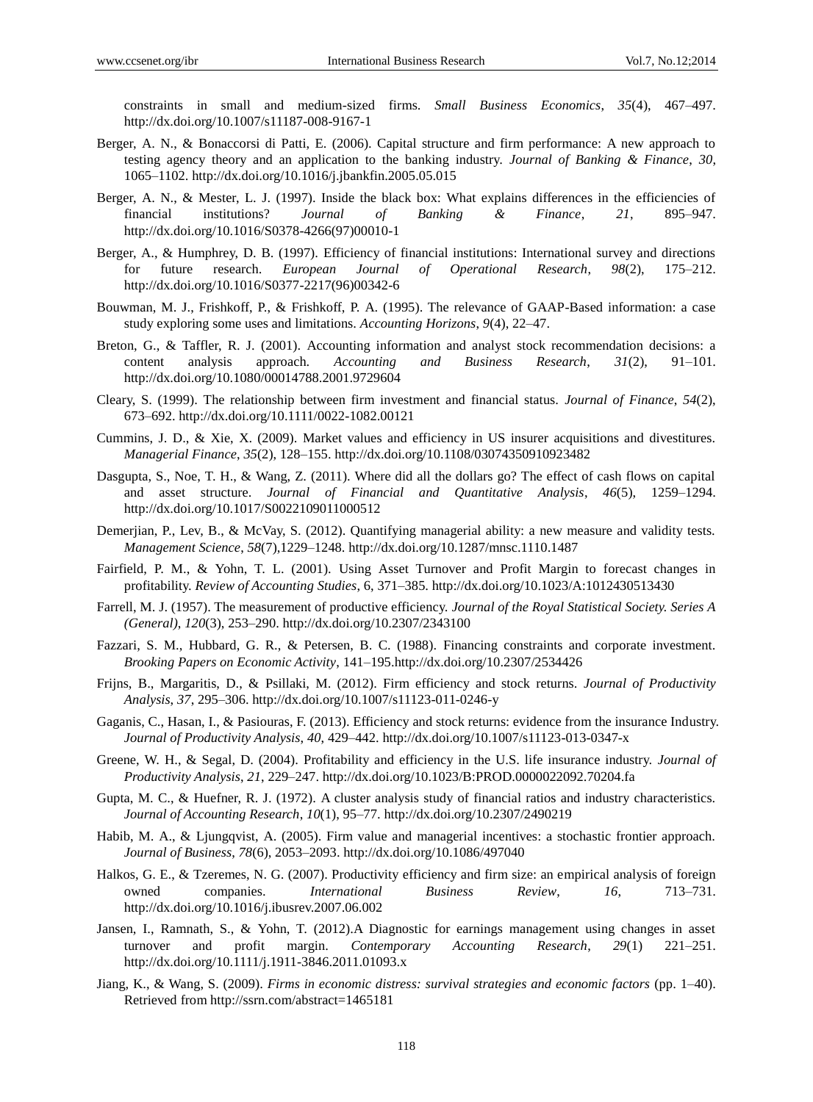constraints in small and medium-sized firms. *Small Business Economics*, *35*(4), 467–497. http://dx.doi.org/10.1007/s11187-008-9167-1

- Berger, A. N., & Bonaccorsi di Patti, E. (2006). Capital structure and firm performance: A new approach to testing agency theory and an application to the banking industry. *Journal of Banking & Finance*, *30*, 1065–1102. http://dx.doi.org/10.1016/j.jbankfin.2005.05.015
- Berger, A. N., & Mester, L. J. (1997). Inside the black box: What explains differences in the efficiencies of financial institutions? *Journal of Banking & Finance*, *21*, 895–947. http://dx.doi.org/10.1016/S0378-4266(97)00010-1
- Berger, A., & Humphrey, D. B. (1997). Efficiency of financial institutions: International survey and directions for future research. *European Journal of Operational Research*, *98*(2), 175–212. http://dx.doi.org/10.1016/S0377-2217(96)00342-6
- Bouwman, M. J., Frishkoff, P., & Frishkoff, P. A. (1995). The relevance of GAAP-Based information: a case study exploring some uses and limitations. *Accounting Horizons*, *9*(4), 22–47.
- Breton, G., & Taffler, R. J. (2001). Accounting information and analyst stock recommendation decisions: a content analysis approach. *Accounting and Business Research*, *31*(2), 91–101. http://dx.doi.org/10.1080/00014788.2001.9729604
- Cleary, S. (1999). The relationship between firm investment and financial status. *Journal of Finance*, *54*(2), 673–692. http://dx.doi.org/10.1111/0022-1082.00121
- Cummins, J. D., & Xie, X. (2009). Market values and efficiency in US insurer acquisitions and divestitures. *Managerial Finance*, *35*(2), 128–155. http://dx.doi.org/10.1108/03074350910923482
- Dasgupta, S., Noe, T. H., & Wang, Z. (2011). Where did all the dollars go? The effect of cash flows on capital and asset structure. *Journal of Financial and Quantitative Analysis*, *46*(5), 1259–1294. http://dx.doi.org/10.1017/S0022109011000512
- Demerjian, P., Lev, B., & McVay, S. (2012). Quantifying managerial ability: a new measure and validity tests. *Management Science*, *58*(7),1229–1248. http://dx.doi.org/10.1287/mnsc.1110.1487
- Fairfield, P. M., & Yohn, T. L. (2001). Using Asset Turnover and Profit Margin to forecast changes in profitability. *Review of Accounting Studies*, 6, 371–385. http://dx.doi.org/10.1023/A:1012430513430
- Farrell, M. J. (1957). The measurement of productive efficiency. *Journal of the Royal Statistical Society. Series A (General)*, *120*(3), 253–290. http://dx.doi.org/10.2307/2343100
- Fazzari, S. M., Hubbard, G. R., & Petersen, B. C. (1988). Financing constraints and corporate investment. *Brooking Papers on Economic Activity*, 141–195.http://dx.doi.org/10.2307/2534426
- Frijns, B., Margaritis, D., & Psillaki, M. (2012). Firm efficiency and stock returns. *Journal of Productivity Analysis*, *37*, 295–306. http://dx.doi.org/10.1007/s11123-011-0246-y
- Gaganis, C., Hasan, I., & Pasiouras, F. (2013). Efficiency and stock returns: evidence from the insurance Industry. *Journal of Productivity Analysis*, *40*, 429–442. http://dx.doi.org/10.1007/s11123-013-0347-x
- Greene, W. H., & Segal, D. (2004). Profitability and efficiency in the U.S. life insurance industry. *Journal of Productivity Analysis*, *21*, 229–247. http://dx.doi.org/10.1023/B:PROD.0000022092.70204.fa
- Gupta, M. C., & Huefner, R. J. (1972). A cluster analysis study of financial ratios and industry characteristics. *Journal of Accounting Research*, *10*(1), 95–77. http://dx.doi.org/10.2307/2490219
- Habib, M. A., & Ljungqvist, A. (2005). Firm value and managerial incentives: a stochastic frontier approach. *Journal of Business*, *78*(6), 2053–2093. http://dx.doi.org/10.1086/497040
- Halkos, G. E., & Tzeremes, N. G. (2007). Productivity efficiency and firm size: an empirical analysis of foreign owned companies. *International Business Review*, *16*, 713–731. http://dx.doi.org/10.1016/j.ibusrev.2007.06.002
- Jansen, I., Ramnath, S., & Yohn, T. (2012).A Diagnostic for earnings management using changes in asset turnover and profit margin. *Contemporary Accounting Research*, *29*(1) 221–251. http://dx.doi.org/10.1111/j.1911-3846.2011.01093.x
- Jiang, K., & Wang, S. (2009). *Firms in economic distress: survival strategies and economic factors* (pp. 1–40). Retrieved from http://ssrn.com/abstract=1465181